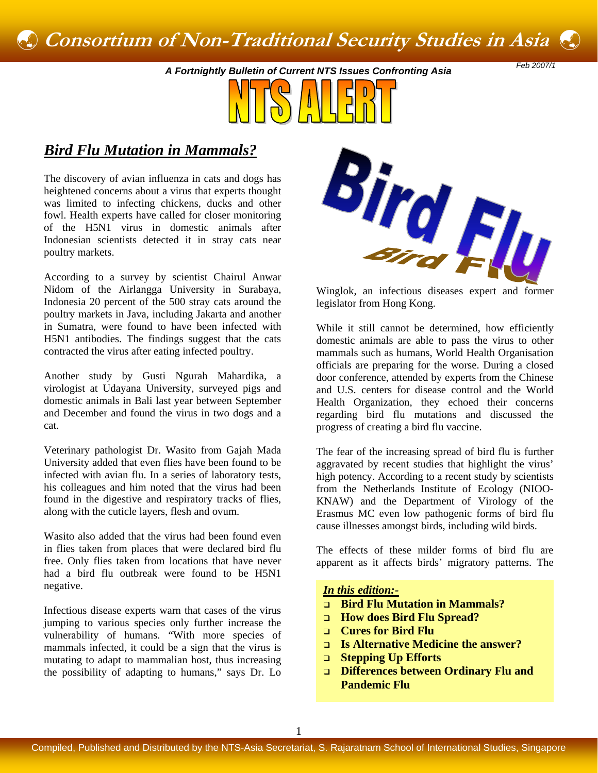# ß **Consortium of Non-Traditional Security Studies in Asia**ß

*Feb 2007/1 A Fortnightly Bulletin of Current NTS Issues Confronting Asia* 



# *Bird Flu Mutation in Mammals?*

The discovery of avian influenza in cats and dogs has heightened concerns about a virus that experts thought was limited to infecting chickens, ducks and other fowl. Health experts have called for closer monitoring of the H5N1 virus in domestic animals after Indonesian scientists detected it in stray cats near poultry markets.

According to a survey by scientist Chairul Anwar Nidom of the Airlangga University in Surabaya, Indonesia 20 percent of the 500 stray cats around the poultry markets in Java, including Jakarta and another in Sumatra, were found to have been infected with H5N1 antibodies. The findings suggest that the cats contracted the virus after eating infected poultry.

Another study by Gusti Ngurah Mahardika, a virologist at Udayana University, surveyed pigs and domestic animals in Bali last year between September and December and found the virus in two dogs and a cat.

Veterinary pathologist Dr. Wasito from Gajah Mada University added that even flies have been found to be infected with avian flu. In a series of laboratory tests, his colleagues and him noted that the virus had been found in the digestive and respiratory tracks of flies, along with the cuticle layers, flesh and ovum.

Wasito also added that the virus had been found even in flies taken from places that were declared bird flu free. Only flies taken from locations that have never had a bird flu outbreak were found to be H5N1 negative. **In this edition:** 

Infectious disease experts warn that cases of the virus jumping to various species only further increase the vulnerability of humans. "With more species of mammals infected, it could be a sign that the virus is mutating to adapt to mammalian host, thus increasing the possibility of adapting to humans," says Dr. Lo

Bird Flu

Winglok, an infectious diseases expert and former legislator from Hong Kong.

While it still cannot be determined, how efficiently domestic animals are able to pass the virus to other mammals such as humans, World Health Organisation officials are preparing for the worse. During a closed door conference, attended by experts from the Chinese and U.S. centers for disease control and the World Health Organization, they echoed their concerns regarding bird flu mutations and discussed the progress of creating a bird flu vaccine.

The fear of the increasing spread of bird flu is further aggravated by recent studies that highlight the virus' high potency. According to a recent study by scientists from the Netherlands Institute of Ecology (NIOO-KNAW) and the Department of Virology of the Erasmus MC even low pathogenic forms of bird flu cause illnesses amongst birds, including wild birds.

The effects of these milder forms of bird flu are apparent as it affects birds' migratory patterns. The

- **Bird Flu Mutation in Mammals?**
- **How does Bird Flu Spread?**
- **Cures for Bird Flu**
- **Is Alternative Medicine the answer?**
- **Stepping Up Efforts**
- **Differences between Ordinary Flu and Pandemic Flu**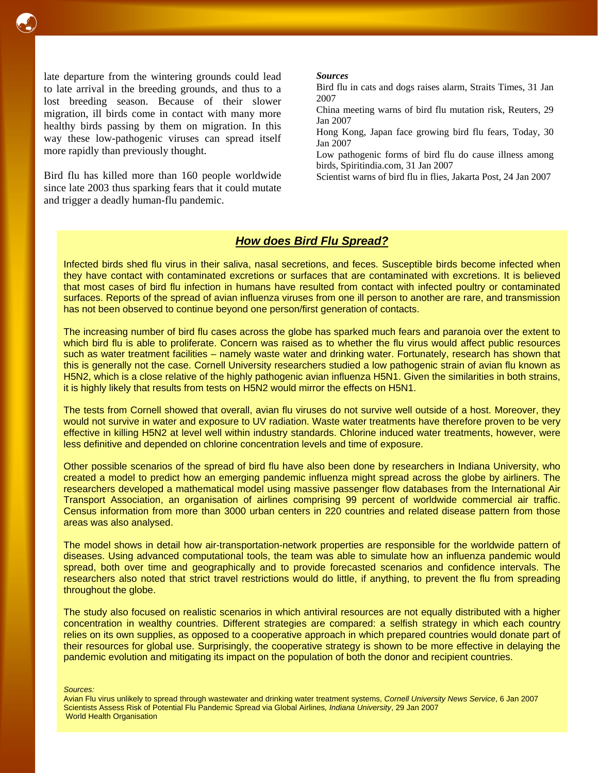

late departure from the wintering grounds could lead to late arrival in the breeding grounds, and thus to a lost breeding season. Because of their slower migration, ill birds come in contact with many more healthy birds passing by them on migration. In this way these low-pathogenic viruses can spread itself more rapidly than previously thought.

Bird flu has killed more than 160 people worldwide since late 2003 thus sparking fears that it could mutate and trigger a deadly human-flu pandemic.

#### *Sources*

Bird flu in cats and dogs raises alarm, Straits Times, 31 Jan 2007

China meeting warns of bird flu mutation risk, Reuters, 29 Jan 2007

Hong Kong, Japan face growing bird flu fears, Today, 30 Jan 2007

Low pathogenic forms of bird flu do cause illness among birds, Spiritindia.com, 31 Jan 2007

Scientist warns of bird flu in flies, Jakarta Post, 24 Jan 2007

# *How does Bird Flu Spread?*

Infected birds shed flu virus in their saliva, nasal secretions, and feces. Susceptible birds become infected when they have contact with contaminated excretions or surfaces that are contaminated with excretions. It is believed that most cases of bird flu infection in humans have resulted from contact with infected poultry or contaminated surfaces. Reports of the spread of avian influenza viruses from one ill person to another are rare, and transmission has not been observed to continue beyond one person/first generation of contacts.

The increasing number of bird flu cases across the globe has sparked much fears and paranoia over the extent to which bird flu is able to proliferate. Concern was raised as to whether the flu virus would affect public resources such as water treatment facilities – namely waste water and drinking water. Fortunately, research has shown that this is generally not the case. Cornell University researchers studied a low pathogenic strain of avian flu known as H5N2, which is a close relative of the highly pathogenic avian influenza H5N1. Given the similarities in both strains, it is highly likely that results from tests on H5N2 would mirror the effects on H5N1.

The tests from Cornell showed that overall, avian flu viruses do not survive well outside of a host. Moreover, they would not survive in water and exposure to UV radiation. Waste water treatments have therefore proven to be very effective in killing H5N2 at level well within industry standards. Chlorine induced water treatments, however, were less definitive and depended on chlorine concentration levels and time of exposure.

Other possible scenarios of the spread of bird flu have also been done by researchers in Indiana University, who created a model to predict how an emerging pandemic influenza might spread across the globe by airliners. The researchers developed a mathematical model using massive passenger flow databases from the International Air Transport Association, an organisation of airlines comprising 99 percent of worldwide commercial air traffic. Census information from more than 3000 urban centers in 220 countries and related disease pattern from those areas was also analysed.

The model shows in detail how air-transportation-network properties are responsible for the worldwide pattern of diseases. Using advanced computational tools, the team was able to simulate how an influenza pandemic would spread, both over time and geographically and to provide forecasted scenarios and confidence intervals. The researchers also noted that strict travel restrictions would do little, if anything, to prevent the flu from spreading throughout the globe.

The study also focused on realistic scenarios in which antiviral resources are not equally distributed with a higher concentration in wealthy countries. Different strategies are compared: a selfish strategy in which each country relies on its own supplies, as opposed to a cooperative approach in which prepared countries would donate part of their resources for global use. Surprisingly, the cooperative strategy is shown to be more effective in delaying the pandemic evolution and mitigating its impact on the population of both the donor and recipient countries.

*Sources:* 

Avian Flu virus unlikely to spread through wastewater and drinking water treatment systems, *Cornell University News Service*, 6 Jan 2007 Scientists Assess Risk of Potential Flu Pandemic Spread via Global Airlines*, Indiana University*, 29 Jan 2007 World Health Organisation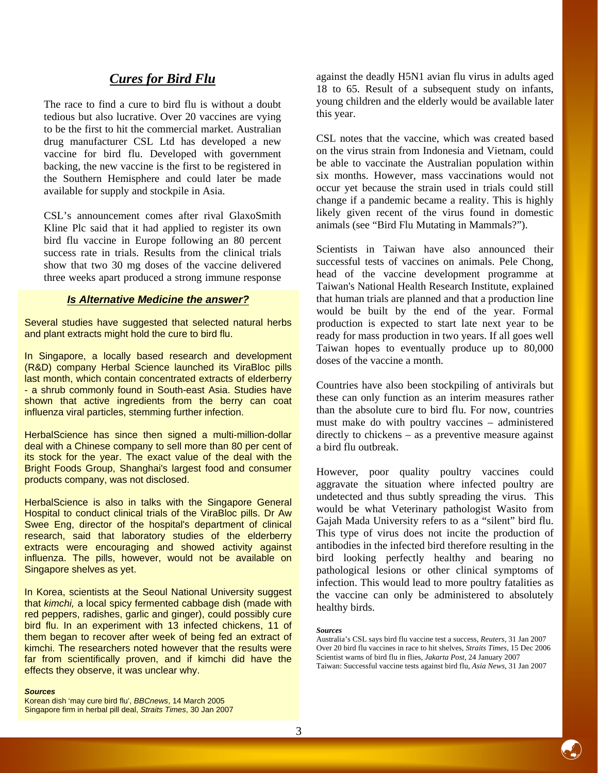# *Cures for Bird Flu*

The race to find a cure to bird flu is without a doubt tedious but also lucrative. Over 20 vaccines are vying to be the first to hit the commercial market. Australian drug manufacturer CSL Ltd has developed a new vaccine for bird flu. Developed with government backing, the new vaccine is the first to be registered in the Southern Hemisphere and could later be made available for supply and stockpile in Asia.

CSL's announcement comes after rival GlaxoSmith Kline Plc said that it had applied to register its own bird flu vaccine in Europe following an 80 percent success rate in trials. Results from the clinical trials show that two 30 mg doses of the vaccine delivered three weeks apart produced a strong immune response

### *Is Alternative Medicine the answer?*

Several studies have suggested that selected natural herbs and plant extracts might hold the cure to bird flu.

In Singapore, a locally based research and development (R&D) company Herbal Science launched its ViraBloc pills last month, which contain concentrated extracts of elderberry - a shrub commonly found in South-east Asia. Studies have shown that active ingredients from the berry can coat influenza viral particles, stemming further infection.

HerbalScience has since then signed a multi-million-dollar deal with a Chinese company to sell more than 80 per cent of its stock for the year. The exact value of the deal with the Bright Foods Group, Shanghai's largest food and consumer products company, was not disclosed.

HerbalScience is also in talks with the Singapore General Hospital to conduct clinical trials of the ViraBloc pills. Dr Aw Swee Eng, director of the hospital's department of clinical research, said that laboratory studies of the elderberry extracts were encouraging and showed activity against influenza. The pills, however, would not be available on Singapore shelves as yet.

In Korea, scientists at the Seoul National University suggest that *kimchi,* a local spicy fermented cabbage dish (made with red peppers, radishes, garlic and ginger), could possibly cure bird flu. In an experiment with 13 infected chickens, 11 of them began to recover after week of being fed an extract of kimchi. The researchers noted however that the results were far from scientifically proven, and if kimchi did have the effects they observe, it was unclear why.

#### *Sources*

Korean dish 'may cure bird flu', *BBCnews*, 14 March 2005 Singapore firm in herbal pill deal, *Straits Times*, 30 Jan 2007 against the deadly H5N1 avian flu virus in adults aged 18 to 65. Result of a subsequent study on infants, young children and the elderly would be available later this year.

CSL notes that the vaccine, which was created based on the virus strain from Indonesia and Vietnam, could be able to vaccinate the Australian population within six months. However, mass vaccinations would not occur yet because the strain used in trials could still change if a pandemic became a reality. This is highly likely given recent of the virus found in domestic animals (see "Bird Flu Mutating in Mammals?").

Scientists in Taiwan have also announced their successful tests of vaccines on animals. Pele Chong, head of the vaccine development programme at Taiwan's National Health Research Institute, explained that human trials are planned and that a production line would be built by the end of the year. Formal production is expected to start late next year to be ready for mass production in two years. If all goes well Taiwan hopes to eventually produce up to 80,000 doses of the vaccine a month.

Countries have also been stockpiling of antivirals but these can only function as an interim measures rather than the absolute cure to bird flu. For now, countries must make do with poultry vaccines – administered directly to chickens – as a preventive measure against a bird flu outbreak.

However, poor quality poultry vaccines could aggravate the situation where infected poultry are undetected and thus subtly spreading the virus. This would be what Veterinary pathologist Wasito from Gajah Mada University refers to as a "silent" bird flu. This type of virus does not incite the production of antibodies in the infected bird therefore resulting in the bird looking perfectly healthy and bearing no pathological lesions or other clinical symptoms of infection. This would lead to more poultry fatalities as the vaccine can only be administered to absolutely healthy birds.

#### *Sources*

Australia's CSL says bird flu vaccine test a success, *Reuters*, 31 Jan 2007 Over 20 bird flu vaccines in race to hit shelves, *Straits Times*, 15 Dec 2006 Scientist warns of bird flu in flies, *Jakarta Post*, 24 January 2007 Taiwan: Successful vaccine tests against bird flu, *Asia News,* 31 Jan 2007

ß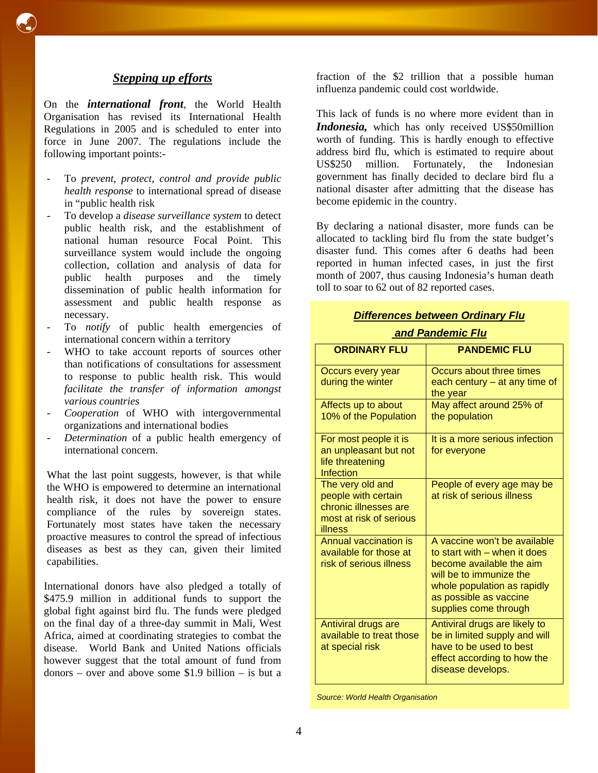# *Stepping up efforts*

ß

On the *international front*, the World Health Organisation has revised its International Health Regulations in 2005 and is scheduled to enter into force in June 2007. The regulations include the following important points:-

- To *prevent, protect, control and provide public health response* to international spread of disease in "public health risk
- To develop a *disease surveillance system* to detect public health risk, and the establishment of national human resource Focal Point. This surveillance system would include the ongoing collection, collation and analysis of data for public health purposes and the timely dissemination of public health information for assessment and public health response as necessary.
- To *notify* of public health emergencies of international concern within a territory
- WHO to take account reports of sources other than notifications of consultations for assessment to response to public health risk. This would *facilitate the transfer of information amongst various countries*
- *Cooperation* of WHO with intergovernmental organizations and international bodies
- Determination of a public health emergency of international concern.

What the last point suggests, however, is that while the WHO is empowered to determine an international health risk, it does not have the power to ensure compliance of the rules by sovereign states. Fortunately most states have taken the necessary proactive measures to control the spread of infectious diseases as best as they can, given their limited capabilities.

International donors have also pledged a totally of \$475.9 million in additional funds to support the global fight against bird flu. The funds were pledged on the final day of a three-day summit in Mali, West Africa, aimed at coordinating strategies to combat the disease. World Bank and United Nations officials however suggest that the total amount of fund from donors – over and above some \$1.9 billion – is but a

fraction of the \$2 trillion that a possible human influenza pandemic could cost worldwide.

This lack of funds is no where more evident than in *Indonesia,* which has only received US\$50million worth of funding. This is hardly enough to effective address bird flu, which is estimated to require about US\$250 million. Fortunately, the Indonesian government has finally decided to declare bird flu a national disaster after admitting that the disease has become epidemic in the country.

By declaring a national disaster, more funds can be allocated to tackling bird flu from the state budget's disaster fund. This comes after 6 deaths had been reported in human infected cases, in just the first month of 2007, thus causing Indonesia's human death toll to soar to 62 out of 82 reported cases.

## *Differences between Ordinary Flu*

# *and Pandemic Flu*

| <b>ORDINARY FLU</b>                                                                                    | <b>PANDEMIC FLU</b>                                                                                                                                                                                   |
|--------------------------------------------------------------------------------------------------------|-------------------------------------------------------------------------------------------------------------------------------------------------------------------------------------------------------|
| Occurs every year<br>during the winter                                                                 | Occurs about three times<br>each century $-$ at any time of<br>the year                                                                                                                               |
| Affects up to about<br>10% of the Population                                                           | May affect around 25% of<br>the population                                                                                                                                                            |
| For most people it is<br>an unpleasant but not<br>life threatening<br>Infection                        | It is a more serious infection<br>for everyone                                                                                                                                                        |
| The very old and<br>people with certain<br>chronic illnesses are<br>most at risk of serious<br>illness | People of every age may be<br>at risk of serious illness                                                                                                                                              |
| Annual vaccination is<br>available for those at<br>risk of serious illness                             | A vaccine won't be available<br>to start with – when it does<br>become available the aim<br>will be to immunize the<br>whole population as rapidly<br>as possible as vaccine<br>supplies come through |
| Antiviral drugs are<br>available to treat those<br>at special risk                                     | Antiviral drugs are likely to<br>be in limited supply and will<br>have to be used to best<br>effect according to how the<br>disease develops.                                                         |

*Source: World Health Organisation*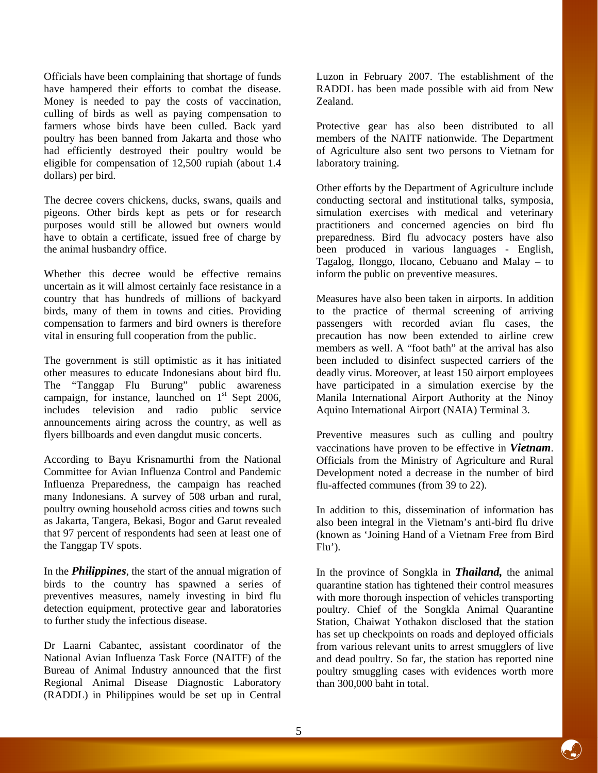Officials have been complaining that shortage of funds have hampered their efforts to combat the disease. Money is needed to pay the costs of vaccination, culling of birds as well as paying compensation to farmers whose birds have been culled. Back yard poultry has been banned from Jakarta and those who had efficiently destroyed their poultry would be eligible for compensation of 12,500 rupiah (about 1.4 dollars) per bird.

The decree covers chickens, ducks, swans, quails and pigeons. Other birds kept as pets or for research purposes would still be allowed but owners would have to obtain a certificate, issued free of charge by the animal husbandry office.

Whether this decree would be effective remains uncertain as it will almost certainly face resistance in a country that has hundreds of millions of backyard birds, many of them in towns and cities. Providing compensation to farmers and bird owners is therefore vital in ensuring full cooperation from the public.

The government is still optimistic as it has initiated other measures to educate Indonesians about bird flu. The "Tanggap Flu Burung" public awareness campaign, for instance, launched on  $1<sup>st</sup>$  Sept 2006, includes television and radio public service announcements airing across the country, as well as flyers billboards and even dangdut music concerts.

According to Bayu Krisnamurthi from the National Committee for Avian Influenza Control and Pandemic Influenza Preparedness, the campaign has reached many Indonesians. A survey of 508 urban and rural, poultry owning household across cities and towns such as Jakarta, Tangera, Bekasi, Bogor and Garut revealed that 97 percent of respondents had seen at least one of the Tanggap TV spots.

In the *Philippines*, the start of the annual migration of birds to the country has spawned a series of preventives measures, namely investing in bird flu detection equipment, protective gear and laboratories to further study the infectious disease.

Dr Laarni Cabantec, assistant coordinator of the National Avian Influenza Task Force (NAITF) of the Bureau of Animal Industry announced that the first Regional Animal Disease Diagnostic Laboratory (RADDL) in Philippines would be set up in Central Luzon in February 2007. The establishment of the RADDL has been made possible with aid from New Zealand.

Protective gear has also been distributed to all members of the NAITF nationwide. The Department of Agriculture also sent two persons to Vietnam for laboratory training.

Other efforts by the Department of Agriculture include conducting sectoral and institutional talks, symposia, simulation exercises with medical and veterinary practitioners and concerned agencies on bird flu preparedness. Bird flu advocacy posters have also been produced in various languages - English, Tagalog, Ilonggo, Ilocano, Cebuano and Malay – to inform the public on preventive measures.

Measures have also been taken in airports. In addition to the practice of thermal screening of arriving passengers with recorded avian flu cases, the precaution has now been extended to airline crew members as well. A "foot bath" at the arrival has also been included to disinfect suspected carriers of the deadly virus. Moreover, at least 150 airport employees have participated in a simulation exercise by the Manila International Airport Authority at the Ninoy Aquino International Airport (NAIA) Terminal 3.

Preventive measures such as culling and poultry vaccinations have proven to be effective in *Vietnam*. Officials from the Ministry of Agriculture and Rural Development noted a decrease in the number of bird flu-affected communes (from 39 to 22).

In addition to this, dissemination of information has also been integral in the Vietnam's anti-bird flu drive (known as 'Joining Hand of a Vietnam Free from Bird  $Flu'$ ).

In the province of Songkla in *Thailand,* the animal quarantine station has tightened their control measures with more thorough inspection of vehicles transporting poultry. Chief of the Songkla Animal Quarantine Station, Chaiwat Yothakon disclosed that the station has set up checkpoints on roads and deployed officials from various relevant units to arrest smugglers of live and dead poultry. So far, the station has reported nine poultry smuggling cases with evidences worth more than 300,000 baht in total.